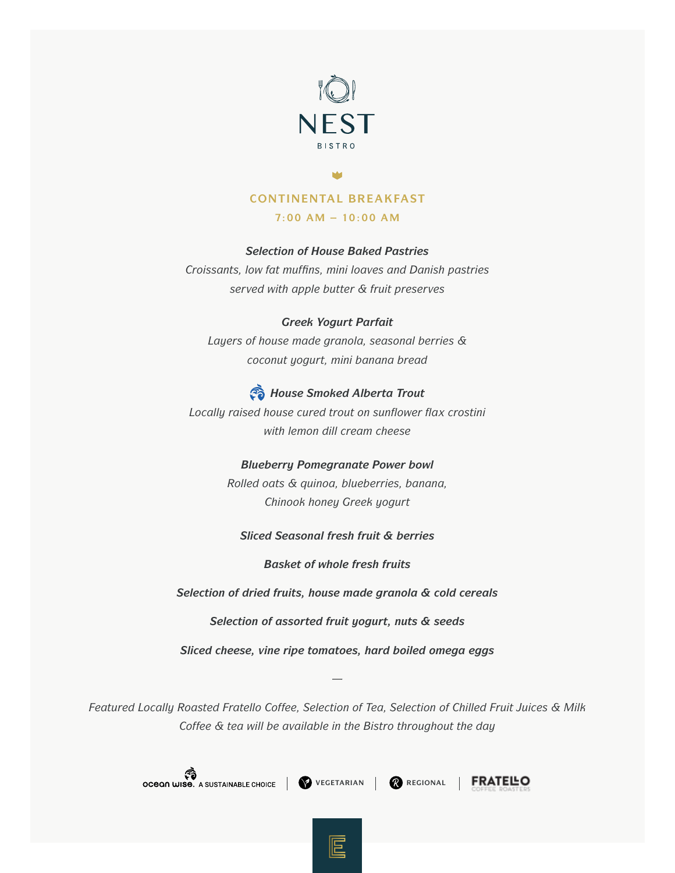

# **CONTINENTAL BREAKFAST**

**7:00 AM – 10:00 AM**

## *Selection of House Baked Pastries*

*Croissants, low fat muffins, mini loaves and Danish pastries served with apple butter & fruit preserves*

#### *Greek Yogurt Parfait*

*Layers of house made granola, seasonal berries & coconut yogurt, mini banana bread*

# *House Smoked Alberta Trout*

*Locally raised house cured trout on sunflower flax crostini with lemon dill cream cheese*

### *Blueberry Pomegranate Power bowl*

*Rolled oats & quinoa, blueberries, banana, Chinook honey Greek yogurt*

## *Sliced Seasonal fresh fruit & berries*

*Basket of whole fresh fruits* 

*Selection of dried fruits, house made granola & cold cereals* 

*Selection of assorted fruit yogurt, nuts & seeds* 

*Sliced cheese, vine ripe tomatoes, hard boiled omega eggs* 

*—*

*Featured Locally Roasted Fratello Coffee, Selection of Tea, Selection of Chilled Fruit Juices & Milk Coffee & tea will be available in the Bistro throughout the day* 

**COMPTERIAL CHOICE VEGETARIAN REGIONAL**